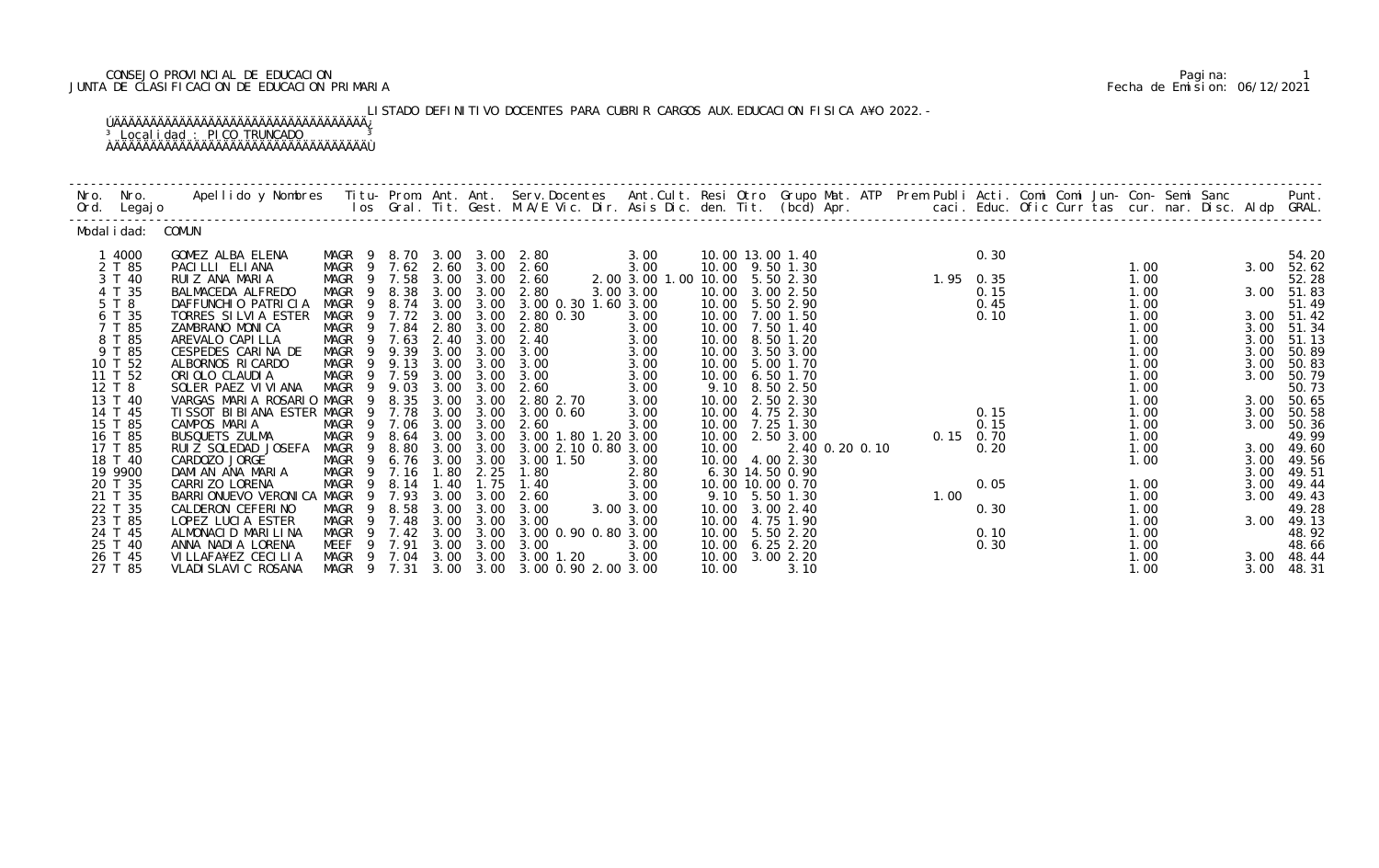### CONSEJO PROVINCIAL DE EDUCACION Pagina: 1 JUNTA DE CLASIFICACION DE EDUCACION PRIMARIA Fecha de Emision: 06/12/2021

LISTADO DEFINITIVO DOCENTES PARA CUBRIR CARGOS AUX. EDUCACION FISICA A¥O 2022.- ÚÄÄÄÄÄÄÄÄÄÄÄÄÄÄÄÄÄÄÄÄÄÄÄÄÄÄÄÄÄÄÄÄÄÄÄ¿ <sup>3</sup> Localidad : PICO TRUNCADO <sup>3</sup> ÀÄÄÄÄÄÄÄÄÄÄÄÄÄÄÄÄÄÄÄÄÄÄÄÄÄÄÄÄÄÄÄÄÄÄÄÙ

| Nro. | Nro.<br>Ord. Legajo | Apellido y Nombres - Titu- Prom. Ant. Ant. Serv.Docentes - Ant.Cult. Resi Otro Grupo Mat. ATP Prem Publi Acti. Comi Comi Jun- Con- Semi Sanc - - - Punt.<br>Ios Gral. Tit. Gest. M.A/E Vic. Dir. Asis Dic. den. Tit. (bcd) Apr. - |                            |        |      |                   |                     |                      |       |                  |                |      |                   |      |      |            |
|------|---------------------|-----------------------------------------------------------------------------------------------------------------------------------------------------------------------------------------------------------------------------------|----------------------------|--------|------|-------------------|---------------------|----------------------|-------|------------------|----------------|------|-------------------|------|------|------------|
|      | Modal i dad:        | COMUN                                                                                                                                                                                                                             |                            |        |      |                   |                     |                      |       |                  |                |      |                   |      |      |            |
|      | 1 4000              | GOMEZ ALBA ELENA                                                                                                                                                                                                                  | MAGR 9                     | 8. 70  |      | 3.00 3.00         | 2.80                | 3.00                 |       | 10.00 13.00 1.40 |                |      | 0.30              |      |      | 54.20      |
|      | 2 T 85              | PACILLI ELIANA                                                                                                                                                                                                                    | MAGR 9 7.62 2.60 3.00 2.60 |        |      |                   |                     | 3.00                 |       | 10.00 9.50 1.30  |                |      |                   | 1.00 | 3.00 | 52.62      |
|      | 3 T 40              | RUIZ ANA MARIA                                                                                                                                                                                                                    | MAGR 9 7.58                |        | 3.00 | 3.00              | 2.60                | 2.00 3.00 1.00 10.00 |       | 5.50 2.30        |                |      | $1.95 \quad 0.35$ | 1.00 |      | 52.28      |
|      | 4 T 35              | BALMACEDA ALFREDO                                                                                                                                                                                                                 | MAGR                       | 9 8.38 | 3.00 | 3.00              | 2.80                | 3.00 3.00            | 10.00 | 3.00 2.50        |                |      | 0.15              | 1.00 |      | 3.00 51.83 |
|      | 5 T 8               | DAFFUNCHIO PATRICIA                                                                                                                                                                                                               | MAGR<br>- 9                | 8.74   | 3.00 | 3.00              | 3.00 0.30 1.60 3.00 |                      |       | 10.00 5.50 2.90  |                |      | 0.45              | 1.00 |      | 51.49      |
|      | 6 T 35              | TORRES SILVIA ESTER                                                                                                                                                                                                               | MAGR<br>9                  | 7.72   | 3.00 | 3.00              | 2.80 0.30           | 3.00                 | 10.00 | 7.00 1.50        |                |      | 0.10              | 1.00 |      | 3.00 51.42 |
|      | 7 T 85              | ZAMBRANO MONICA                                                                                                                                                                                                                   | MAGR<br>$\overline{9}$     | 7.84   | 2.80 | 3.00              | 2.80                | 3.00                 | 10.00 | 7.50 1.40        |                |      |                   | 1.00 | 3.00 | 51.34      |
|      | 8 T 85              | AREVALO CAPI LLA                                                                                                                                                                                                                  | MAGR                       | 9 7.63 | 2.40 | 3.00              | 2.40                | 3.00                 | 10.00 | 8.50 1.20        |                |      |                   | 1.00 | 3.00 | 51.13      |
|      | 9 T 85              | CESPEDES CARINA DE                                                                                                                                                                                                                | MAGR 9 9.39                |        | 3.00 | 3.00              | 3.00                | 3.00                 |       | 10.00 3.50 3.00  |                |      |                   | 1.00 | 3.00 | 50.89      |
|      | 10 T 52             | ALBORNOS RI CARDO                                                                                                                                                                                                                 | MAGR<br>- 9                | 9.13   | 3.00 | 3.00              | 3.00                | 3.00                 | 10.00 | 5.00 1.70        |                |      |                   | 1.00 | 3.00 | 50.83      |
|      | 11 T 52             | ORIOLO CLAUDIA                                                                                                                                                                                                                    | MAGR                       | 9 7.59 | 3.00 | 3.00              | 3.00                | 3.00                 | 10.00 | 6.50 1.70        |                |      |                   | 1.00 | 3.00 | 50.79      |
|      | 12 T 8              | SOLER PAEZ VI VI ANA                                                                                                                                                                                                              | MAGR                       | 9 9.03 | 3.00 | 3.00              | 2.60                | 3.00                 | 9.10  | 8.50 2.50        |                |      |                   | 1.00 |      | 50.73      |
|      | 13 T 40             | VARGAS MARIA ROSARIO MAGR                                                                                                                                                                                                         | 9                          | 8.35   | 3.00 | 3.00              | 2.80 2.70           | 3.00                 |       | 10.00 2.50 2.30  |                |      |                   | 1.00 | 3.00 | 50.65      |
|      | 14 T 45             | TI SSOT BI BI ANA ESTER MAGR                                                                                                                                                                                                      | - 9                        | 7.78   | 3.00 | 3.00              | $3.00 \, 0.60$      | 3.00                 | 10.00 | 4.75 2.30        |                |      | 0.15              | 1.00 | 3.00 | 50.58      |
|      | 15 T 85             | CAMPOS MARIA                                                                                                                                                                                                                      | MAGR 9 7.06                |        | 3.00 | 3.00              | 2.60                | 3.00                 |       | 10.00 7.25 1.30  |                |      | 0.15              | 1.00 | 3.00 | 50.36      |
|      | 16 T 85             | BUSQUETS ZULMA                                                                                                                                                                                                                    | MAGR                       | 9 8.64 | 3.00 | 3.00              | 3.00 1.80 1.20 3.00 |                      |       | 10.00 2.50 3.00  |                |      | $0.15$ 0.70       | 1.00 |      | 49.99      |
|      | 17 T 85             | RUIZ SOLEDAD JOSEFA                                                                                                                                                                                                               | MAGR<br>- 9                | 8.80   | 3.00 | 3.00              | 3.00 2.10 0.80 3.00 |                      | 10.00 |                  | 2.40 0.20 0.10 |      | 0.20              | 1.00 | 3.00 | 49.60      |
|      | 18 T 40             | CARDOZO JORGE                                                                                                                                                                                                                     | MAGR<br>- 9                | 6.76   | 3.00 | 3.00              | 3.00 1.50           | 3.00                 |       | 10.00 4.00 2.30  |                |      |                   | 1.00 | 3.00 | 49.56      |
|      | 19 9900             | DAMIAN ANA MARIA                                                                                                                                                                                                                  | MAGR 9 7.16                |        | 1.80 | 2.25              | 1.80                | 2.80                 |       | 6.30 14.50 0.90  |                |      |                   |      | 3.00 | 49.51      |
|      | 20 T 35             | CARRI ZO LORENA                                                                                                                                                                                                                   | MAGR                       | 9 8.14 | 1.40 | 1.75              | 1.40                | 3.00                 |       | 10.00 10.00 0.70 |                |      | 0.05              | 1.00 | 3.00 | 49.44      |
|      | 21 T 35             | BARRI ONUEVO VERONI CA MAGR                                                                                                                                                                                                       | $\overline{9}$             | 7.93   | 3.00 | 3.00              | 2.60                | 3.00                 |       | 9.10 5.50 1.30   |                | 1.00 |                   | 1.00 | 3.00 | 49.43      |
|      | 22 T 35             | CALDERON CEFERINO                                                                                                                                                                                                                 | MAGR                       | 8.58   | 3.00 | 3.00              | 3.00                | 3.00 3.00            | 10.00 | 3.00 2.40        |                |      | 0.30              | 1.00 |      | 49.28      |
|      | 23 T 85             | LOPEZ LUCIA ESTER                                                                                                                                                                                                                 | MAGR                       | 9 7.48 | 3.00 | 3.00              | 3.00                | 3.00                 | 10.00 | 4.75 1.90        |                |      |                   | 1.00 | 3.00 | 49.13      |
|      | 24 T 45             | ALMONACID MARILINA                                                                                                                                                                                                                | MAGR 9 7.42                |        |      | $3.00 \quad 3.00$ | 3.00 0.90 0.80 3.00 |                      |       | 10.00 5.50 2.20  |                |      | 0.10              | 1.00 |      | 48.92      |
|      | 25 T 40             | ANNA NADI A LORENA                                                                                                                                                                                                                | MEEF                       | 9 7.91 | 3.00 | 3.00              | 3.00                | 3.00                 |       | 10.00 6.25 2.20  |                |      | 0.30              | 1.00 |      | 48.66      |
|      | 26 T 45             | VI LLAFA¥EZ CECI LI A                                                                                                                                                                                                             | MAGR 9 7.04                |        | 3.00 | 3.00              | 3.00 1.20           | 3.00                 |       | 10.00 3.00 2.20  |                |      |                   | 1.00 | 3.00 | 48.44      |
|      | 27 T 85             | VLADI SLAVI C ROSANA                                                                                                                                                                                                              | MAGR 9 7.31                |        |      | 3.00 3.00         | 3.00 0.90 2.00 3.00 |                      | 10.00 | 3.10             |                |      |                   | 1.00 | 3.00 | 48.31      |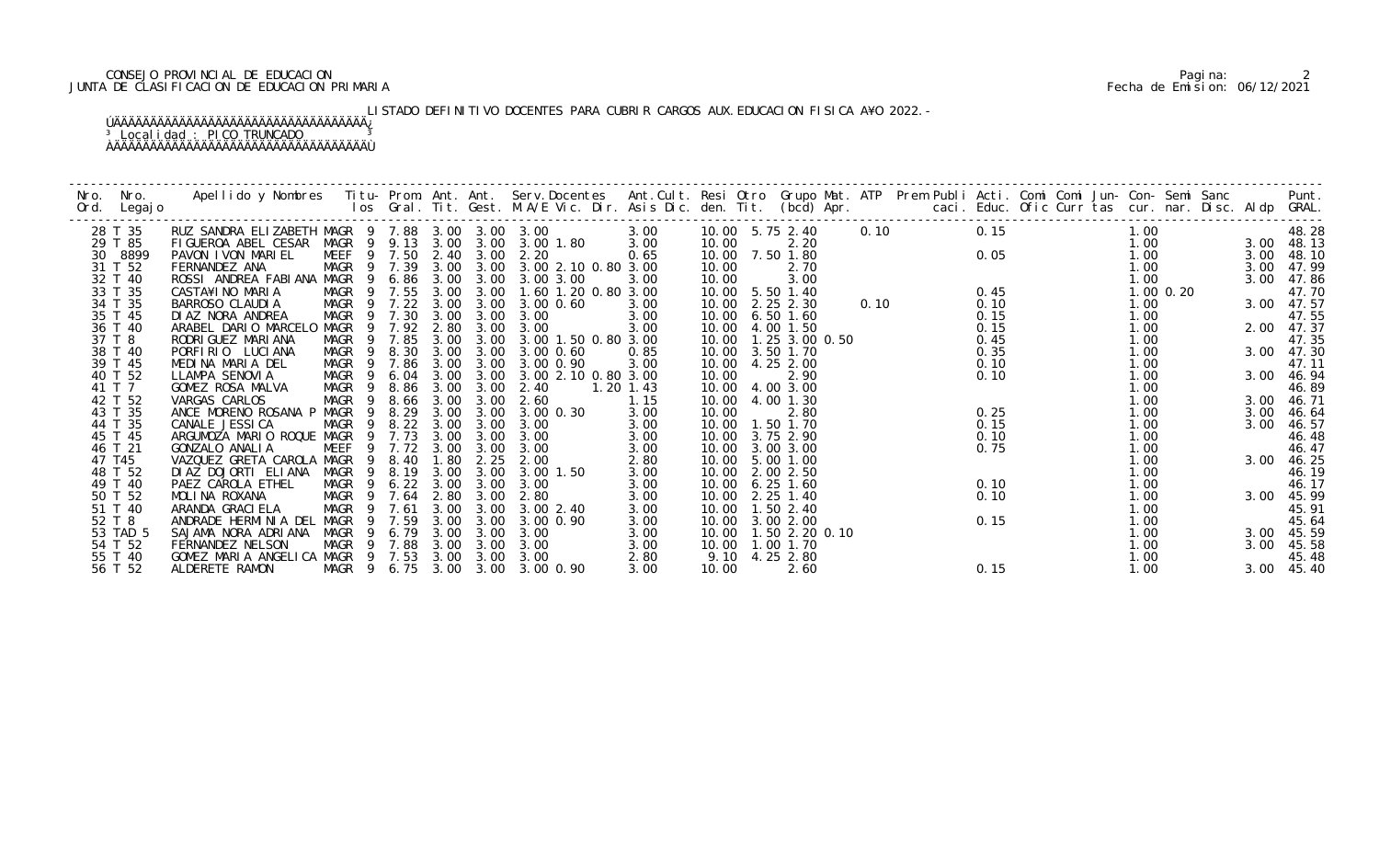### CONSEJO PROVINCIAL DE EDUCACION Pagina: 2 JUNTA DE CLASIFICACION DE EDUCACION PRIMARIA Fecha de Emision: 06/12/2021

LISTADO DEFINITIVO DOCENTES PARA CUBRIR CARGOS AUX. EDUCACION FISICA A¥O 2022.-

| Nro. | Nro.<br>Ord. Legajo | Apellido y Nombres Titu-Prom. Ant. Ant. Serv.Docentes Ant.Cult. Resi Otro Grupo Mat. ATP Prem Publi Acti. Comi Comi Jun-Con-Semi Sanc Punt.<br>Ios Gral. Tit. Gest. M.A/E Vic. Dir. Asis Dic. den. Tit. (bcd) Apr. |             |                         |                            |      |                                 |             |                 |                         |      |                      |      |      |               |      | Punt.      |
|------|---------------------|--------------------------------------------------------------------------------------------------------------------------------------------------------------------------------------------------------------------|-------------|-------------------------|----------------------------|------|---------------------------------|-------------|-----------------|-------------------------|------|----------------------|------|------|---------------|------|------------|
|      | 28 T 35             | RUZ SANDRA ELIZABETH MAGR 9 7.88 3.00 3.00 3.00                                                                                                                                                                    |             |                         |                            |      |                                 | 3.00        |                 |                         |      | 10.00 5.75 2.40 0.10 | 0.15 |      | 1.00          |      | 48.28      |
|      | 29 T 85             | FIGUEROA ABEL CESAR                                                                                                                                                                                                |             |                         |                            |      | MAGR 9 9.13 3.00 3.00 3.00 1.80 | 3.00        | 10.00           | 2.20                    |      |                      |      |      | 1.00          |      | 3.00 48.13 |
|      | 30 8899             | PAVON I VON MARIEL                                                                                                                                                                                                 |             |                         | MEEF 9 7.50 2.40 3.00 2.20 |      |                                 | 0.65        |                 | 10.00 7.50 1.80         |      |                      |      |      | 1.00          |      | 3.00 48.10 |
|      | 31 T 52             | FERNANDEZ ANA                                                                                                                                                                                                      | MAGR 9 7.39 |                         |                            |      | 3.00 3.00 3.00 2.10 0.80 3.00   |             | 10.00           | 2.70                    |      |                      |      | 0.05 | 1.00          |      | 3.00 47.99 |
|      | 32 T 40             | ROSSI ANDREA FABIANA MAGR 9 6.86 3.00                                                                                                                                                                              |             |                         |                            | 3.00 | 3.00 3.00                       | 3.00        | 10.00           | 3.00                    |      |                      |      |      | 1.00          |      | 3.00 47.86 |
|      | 33 T 35             | CASTA¥INO MARIA                                                                                                                                                                                                    |             |                         | MAGR 9 7.55 3.00           | 3.00 | 1.60 1.20 0.80 3.00             |             |                 | 10.00 5.50 1.40         |      |                      | 0.45 |      | $1.00$ $0.20$ |      | 47.70      |
|      | 34 T 35             | BARROSO CLAUDIA                                                                                                                                                                                                    |             |                         | MAGR 9 7.22 3.00           | 3.00 | 3.00 0.60                       | 3.00        |                 | 10.00 2.25 2.30         | 0.10 |                      | 0.10 |      | 1.00          |      | 3.00 47.57 |
|      | 35 T 45             | DI AZ NORA ANDREA                                                                                                                                                                                                  |             |                         | MAGR 9 7.30 3.00           | 3.00 | 3.00                            | 3.00        |                 | 10.00 6.50 1.60         |      |                      | 0.15 |      | 1.00          |      | 47.55      |
|      | 36 T 40             | ARABEL DARIO MARCELO MAGR 9 7.92 2.80                                                                                                                                                                              |             |                         |                            |      | 3.00 3.00                       | 3.00        |                 | 10.00 4.00 1.50         |      |                      | 0.15 |      | 1.00          |      | 2.00 47.37 |
|      | 37 T 8              | RODRI GUEZ MARI ANA                                                                                                                                                                                                |             |                         | MAGR 9 7.85 3.00           | 3.00 | 3.00 1.50 0.80 3.00             |             |                 | 10.00  1.25  3.00  0.50 |      |                      | 0.45 |      | 1.00          |      | 47.35      |
|      | 38 T 40             | PORFIRIO LUCIANA                                                                                                                                                                                                   |             |                         | MAGR 9 8.30 3.00           | 3.00 | 3.00 0.60                       | 0.85        |                 | 10.00 3.50 1.70         |      |                      | 0.35 |      | 1.00          |      | 3.00 47.30 |
|      | 39 T 45             | MEDINA MARIA DEL                                                                                                                                                                                                   |             |                         | MAGR 9 7.86 3.00           |      | 3.00 3.00 0.90                  | 3.00        |                 | 10.00 4.25 2.00         |      |                      | 0.10 |      | 1.00          |      | 47.11      |
|      | 40 T 52             | LLAMPA SENOVIA                                                                                                                                                                                                     |             |                         | MAGR 9 6.04 3.00 3.00      |      | 3.00 2.10 0.80 3.00             |             | 10.00           | 2.90                    |      |                      | 0.10 |      | 1.00          |      | 3.00 46.94 |
|      | 41 T 7              | GOMEZ ROSA MALVA                                                                                                                                                                                                   |             |                         | MAGR 9 8.86 3.00           | 3.00 | 2.40                            | $1.20$ 1.43 |                 | 10.00 4.00 3.00         |      |                      |      |      | 1.00          |      | 46.89      |
|      | 42 T 52             | VARGAS CARLOS                                                                                                                                                                                                      |             |                         | MAGR 9 8.66 3.00           | 3.00 | 2.60                            | 1.15        |                 | 10.00 4.00 1.30         |      |                      |      |      | 1.00          |      | 3.00 46.71 |
|      | 43 T 35             | ANCE MORENO ROSANA P MAGR 9 8.29                                                                                                                                                                                   |             |                         | 3.00                       | 3.00 | 3.00 0.30                       | 3.00        | 10.00           | 2.80                    |      |                      | 0.25 |      | 1.00          |      | 3.00 46.64 |
|      | 44 T 35             | CANALE JESSI CA                                                                                                                                                                                                    | MAGR        |                         | 9 8.22 3.00                | 3.00 | 3.00                            | 3.00        |                 | 10.00  1.50  1.70       |      |                      | 0.15 |      | 1.00          | 3.00 | 46.57      |
|      | 45 T 45             | ARGUMOZA MARIO ROQUE MAGR                                                                                                                                                                                          |             | 7.73<br>$\overline{9}$  | 3.00                       | 3.00 | 3.00                            | 3.00        |                 | 10.00 3.75 2.90         |      |                      | 0.10 |      | 1.00          |      | 46.48      |
|      | 46 T 21             | GONZALO ANALIA                                                                                                                                                                                                     | MEEF        |                         | 9 7.72 3.00                | 3.00 | 3.00                            | 3.00        |                 | 10.00 3.00 3.00         |      |                      | 0.75 |      | 1.00          |      | 46.47      |
|      | 47 T45              | VAZQUEZ GRETA CAROLA MAGR 9 8.40                                                                                                                                                                                   |             |                         | 1.80                       | 2.25 | 2.00                            | 2.80        |                 | 10.00 5.00 1.00         |      |                      |      |      | 1.00          |      | 3.00 46.25 |
|      | 48 T 52             | DIAZ DOJORTI ELIANA MAGR                                                                                                                                                                                           |             |                         | 9 8.19 3.00                | 3.00 | 3.00 1.50                       | 3.00        |                 | 10.00 2.00 2.50         |      |                      |      |      | 1.00          |      | 46.19      |
|      | 49 T 40             | PAEZ CAROLA ETHEL                                                                                                                                                                                                  |             |                         | MAGR 9 6.22 3.00           | 3.00 | 3.00                            | 3.00        |                 | 10.00 6.25 1.60         |      |                      | 0.10 |      | 1.00          |      | 46.17      |
|      | 50 T 52             | MOLINA ROXANA                                                                                                                                                                                                      |             |                         | MAGR 9 7.64 2.80           | 3.00 | 2.80                            | 3.00        |                 | 10.00 2.25 1.40         |      |                      | 0.10 |      | 1.00          |      | 3.00 45.99 |
|      | 51 T 40             | ARANDA GRACI ELA                                                                                                                                                                                                   | MAGR 9 7.61 |                         | 3.00                       |      | 3.00 3.00 2.40                  | 3.00        |                 | 10.00  1.50  2.40       |      |                      |      |      | 1.00          |      | 45.91      |
|      | 52 T 8              | ANDRADE HERMINIA DEL                                                                                                                                                                                               | MAGR        | 9 7.59                  | 3.00                       | 3.00 | 3.00 0.90                       | 3.00        |                 | 10.00 3.00 2.00         |      |                      | 0.15 |      | 1.00          |      | 45.64      |
|      | 53 TAD 5            | SAJAMA NORA ADRIANA                                                                                                                                                                                                | MAGR        | 6. 79<br>$\overline{9}$ | 3.00                       | 3.00 | 3.00                            | 3.00        |                 | 10.00  1.50  2.20  0.10 |      |                      |      |      | 1.00          |      | 3.00 45.59 |
|      | 54 T 52             | FERNANDEZ NELSON                                                                                                                                                                                                   | MAGR 9 7.88 |                         | 3.00                       | 3.00 | 3.00                            | 3.00        | 10.00 1.00 1.70 |                         |      |                      |      |      | 1.00          |      | 3.00 45.58 |
|      | 55 T 40             | GOMEZ MARIA ANGELICA MAGR 9 7.53 3.00 3.00                                                                                                                                                                         |             |                         |                            |      | 3.00                            | 2.80        |                 | 9.10 4.25 2.80          |      |                      |      |      | 1.00          |      | 45.48      |
|      | 56 T 52             | ALDERETE RAMON                                                                                                                                                                                                     |             |                         |                            |      | MAGR 9 6.75 3.00 3.00 3.00 0.90 | 3.00        | 10.00           | 2.60                    |      |                      | 0.15 |      | 1.00          |      | 3.00 45.40 |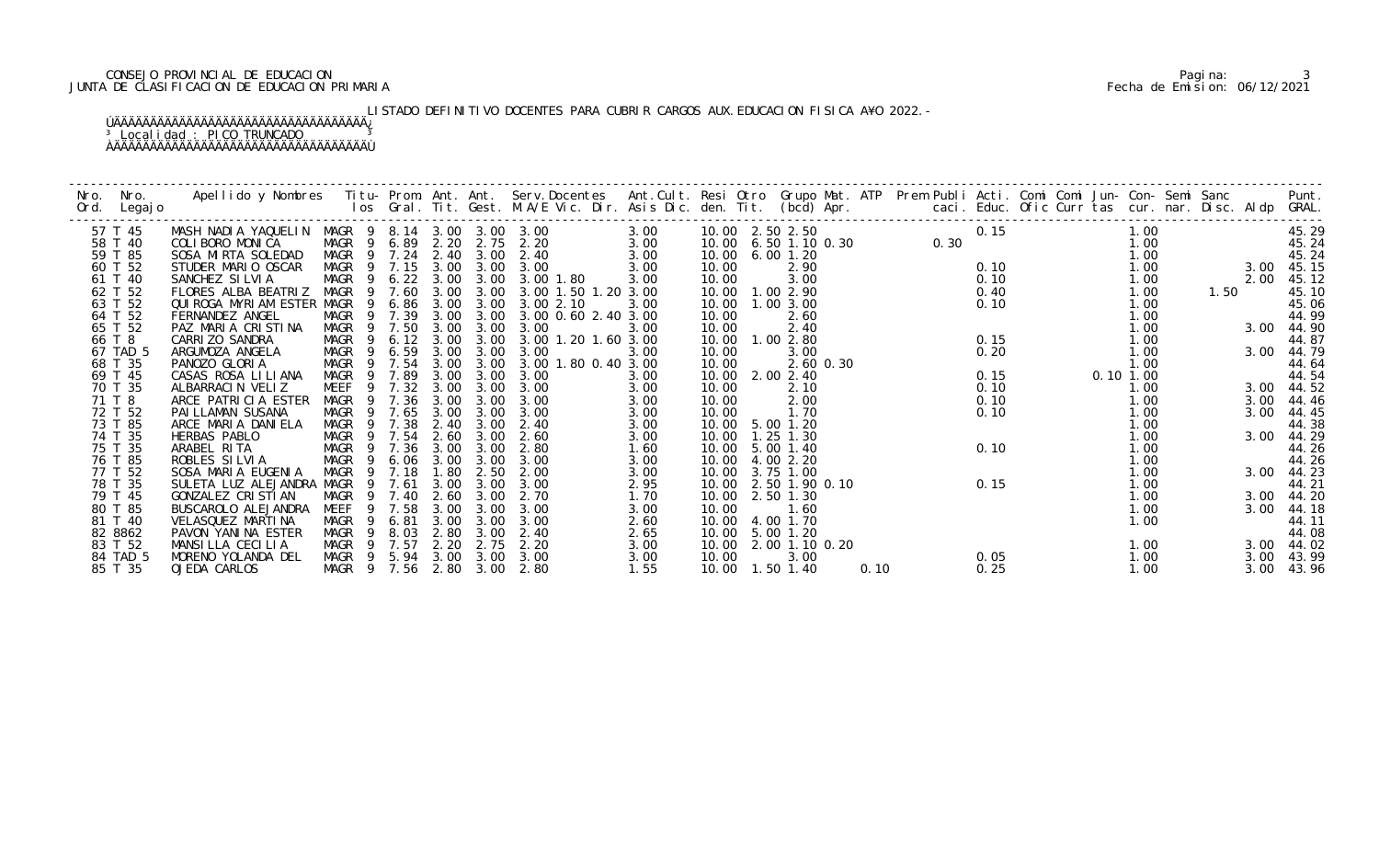### CONSEJO PROVINCIAL DE EDUCACION Pagina: 3 JUNTA DE CLASIFICACION DE EDUCACION PRIMARIA Fecha de Emision: 06/12/2021

LISTADO DEFINITIVO DOCENTES PARA CUBRIR CARGOS AUX. EDUCACION FISICA A¥O 2022.-

| Nro.   | Nro.        | Apellido y Nombres - Titu- Prom. Ant. Ant. Serv.Docentes - Ant.Cult. Resi Otro Grupo Mat. ATP Prem Publi Acti. Comi Comi Jun- Con- Semi Sanc - - Punt.<br>Ios Gral. Tit. Gest. M.A/E Vic. Dir. Asis Dic. den. Tit. (bcd) Apr. --- |                  |                |                   |      |                       |                                 |      |                      |                |           |      |                            |      |      |               |      |      |            |
|--------|-------------|-----------------------------------------------------------------------------------------------------------------------------------------------------------------------------------------------------------------------------------|------------------|----------------|-------------------|------|-----------------------|---------------------------------|------|----------------------|----------------|-----------|------|----------------------------|------|------|---------------|------|------|------------|
|        | Ord. Legajo |                                                                                                                                                                                                                                   |                  |                |                   |      |                       |                                 |      |                      |                |           |      |                            |      |      |               |      |      |            |
|        |             |                                                                                                                                                                                                                                   |                  |                |                   |      |                       |                                 |      |                      |                |           |      |                            |      |      |               |      |      |            |
|        | 57 T 45     | MASH NADIA YAQUELIN MAGR 9 8.14 3.00 3.00 3.00                                                                                                                                                                                    |                  |                |                   |      |                       |                                 | 3.00 |                      |                |           |      |                            | 0.15 | 1.00 |               |      |      | 45.29      |
|        | 58 T 40     | COLIBORO MONICA                                                                                                                                                                                                                   |                  |                |                   |      |                       | MAGR 9 6.89 2.20 2.75 2.20      | 3.00 |                      |                |           |      | $0.00$<br>$0.00$<br>$0.00$ |      | 1.00 |               |      |      | 45.24      |
|        | 59 T 85     | SOSA MIRTA SOLEDAD                                                                                                                                                                                                                |                  |                |                   |      |                       | MAGR 9 7.24 2.40 3.00 2.40      | 3.00 | 10.00 6.00 1.20      |                |           |      |                            |      |      | 1.00          |      |      | 45.24      |
|        | 60 T 52     | STUDER MARIO OSCAR                                                                                                                                                                                                                |                  |                |                   |      | MAGR 9 7.15 3.00 3.00 | 3.00                            | 3.00 | 10.00                | 2.90           |           |      |                            | 0.10 |      | 1.00          |      |      | 3.00 45.15 |
|        | 61 T 40     | SANCHEZ SILVIA                                                                                                                                                                                                                    |                  |                |                   |      |                       | MAGR 9 6.22 3.00 3.00 3.00 1.80 | 3.00 | 10.00                | 3.00           |           |      |                            | 0.10 |      | 1.00          |      | 2.00 | 45.12      |
|        | 62 T 52     | FLORES ALBA BEATRIZ                                                                                                                                                                                                               | MAGR 9 7.60 3.00 |                |                   |      | 3.00                  | 3.00 1.50 1.20 3.00             |      | 10.00  1.00  2.90    |                |           |      |                            | 0.40 |      | 1.00          | 1.50 |      | 45.10      |
|        | 63 T 52     | QUIROGA MYRIAM ESTER MAGR                                                                                                                                                                                                         |                  |                | 9 6.86 3.00       |      | 3.00                  | 3.00 2.10                       | 3.00 | 10.00  1.00  3.00    |                |           |      |                            | 0.10 |      | 1.00          |      |      | 45.06      |
|        | 64 T 52     | FERNANDEZ ANGEL                                                                                                                                                                                                                   | MAGR 9 7.39      |                |                   |      | 3.00 3.00             | 3.00 0.60 2.40 3.00             |      | 10.00                | 2.60           |           |      |                            |      |      | 1.00          |      |      | 44.99      |
|        | 65 T 52     | PAZ MARIA CRISTINA                                                                                                                                                                                                                | MAGR             |                | 9 7.50 3.00       |      | 3.00                  | 3.00                            | 3.00 | 10.00                | 2.40           |           |      |                            |      |      | 1.00          |      |      | 3.00 44.90 |
| 66 T 8 |             | CARRI ZO SANDRA                                                                                                                                                                                                                   | MAGR 9           |                | $6.12 \quad 3.00$ |      | 3.00                  | 3.00 1.20 1.60 3.00             |      | 10.00  1.00  2.80    |                |           |      |                            | 0.15 |      | 1.00          |      |      | 44.87      |
|        | 67 TAD 5    | ARGUMOZA ANGELA                                                                                                                                                                                                                   | MAGR 9 6.59 3.00 |                |                   |      | 3.00                  | 3.00                            | 3.00 | 10.00                | 3.00           |           |      |                            | 0.20 |      | 1.00          |      | 3.00 | 44.79      |
|        | 68 T 35     | PANOZO GLORIA                                                                                                                                                                                                                     |                  |                |                   |      | MAGR 9 7.54 3.00 3.00 | 3.00 1.80 0.40 3.00             |      | 10.00                |                | 2.60 0.30 |      |                            |      |      | 1.00          |      |      | 44.64      |
|        | 69 T 45     | CASAS ROSA LILIANA                                                                                                                                                                                                                | MAGR             |                | 9 7.89            | 3.00 | 3.00                  | 3.00                            | 3.00 | 10.00 2.00 2.40      |                |           |      |                            | 0.15 |      | $0.10$ $1.00$ |      |      | 44.54      |
|        | 70 T 35     | ALBARRACIN VELIZ                                                                                                                                                                                                                  | MEEF 9 7.32 3.00 |                |                   |      | 3.00                  | 3.00                            | 3.00 | 10.00                | 2.10           |           |      |                            | 0.10 |      | 1.00          |      |      | 3.00 44.52 |
| 71 T 8 |             | ARCE PATRICIA ESTER                                                                                                                                                                                                               | MAGR 9 7.36      |                |                   | 3.00 | 3.00                  | 3.00                            | 3.00 | 10.00                | 2.00           |           |      |                            | 0.10 |      | 1.00          |      | 3.00 | 44.46      |
|        | 72 T 52     | PAI LLAMAN SUSANA                                                                                                                                                                                                                 | MAGR 9 7.65      |                |                   | 3.00 | 3.00                  | 3.00                            | 3.00 | 10.00                | 1.70           |           |      |                            | 0.10 |      | 1.00          |      | 3.00 | 44.45      |
|        | 73 T 85     | ARCE MARIA DANIELA                                                                                                                                                                                                                | MAGR             |                | 9 7.38            | 2.40 | 3.00                  | 2.40                            | 3.00 | 10.00 5.00 1.20      |                |           |      |                            |      |      | 1.00          |      |      | 44.38      |
|        | 74 T 35     | HERBAS PABLO                                                                                                                                                                                                                      | MAGR 9 7.54      |                |                   | 2.60 | 3.00                  | 2.60                            | 3.00 | 10.00                | $1.25$ 1.30    |           |      |                            |      |      | 1.00          |      | 3.00 | 44.29      |
|        | 75 T 35     | ARABEL RITA                                                                                                                                                                                                                       | MAGR             |                | 9 7.36            | 3.00 | 3.00                  | 2.80                            | 1.60 | 10.00 5.00 1.40      |                |           |      |                            | 0.10 |      | 1.00          |      |      | 44.26      |
|        | 76 T 85     | ROBLES SILVIA                                                                                                                                                                                                                     | MAGR 9 6.06 3.00 |                |                   |      | 3.00                  | 3.00                            | 3.00 | 10.00 4.00 2.20      |                |           |      |                            |      |      | 1.00          |      |      | 44.26      |
|        | 77 T 52     | SOSA MARIA EUGENIA                                                                                                                                                                                                                | MAGR 9 7.18      |                |                   | 1.80 | 2.50                  | 2.00                            | 3.00 | 10.00                | 3.75 1.00      |           |      |                            |      |      | 1.00          |      |      | 3.00 44.23 |
|        | 78 T 35     | SULETA LUZ ALEJANDRA MAGR 9 7.61                                                                                                                                                                                                  |                  |                |                   | 3.00 | 3.00                  | 3.00                            | 2.95 | 10.00                | 2.50 1.90 0.10 |           |      |                            | 0.15 |      | 1.00          |      |      | 44.21      |
|        | 79 T 45     | GONZALEZ CRISTIAN                                                                                                                                                                                                                 | MAGR             |                | 9 7.40            | 2.60 | 3.00                  | 2.70                            | 1.70 | 10.00 2.50 1.30      |                |           |      |                            |      |      | 1.00          |      |      | 3.00 44.20 |
|        | 80 T 85     | BUSCAROLO ALEJANDRA                                                                                                                                                                                                               | MEEF             |                | 9 7.58            | 3.00 | 3.00                  | 3.00                            | 3.00 | 10.00                | 1.60           |           |      |                            |      |      | 1.00          |      |      | 3.00 44.18 |
|        | 81 T 40     | VELASQUEZ MARTINA                                                                                                                                                                                                                 | MAGR             |                | 9 6.81            | 3.00 | 3.00                  | 3.00                            | 2.60 | 10.00                | 4.00 1.70      |           |      |                            |      |      | 1.00          |      |      | 44.11      |
|        | 82 8862     | PAVON YANINA ESTER                                                                                                                                                                                                                | MAGR             | $\overline{9}$ | 8.03              | 2.80 | 3.00                  | 2.40                            | 2.65 | 10.00                | 5.00 1.20      |           |      |                            |      |      |               |      |      | 44.08      |
|        | 83 T 52     | MANSILLA CECILIA                                                                                                                                                                                                                  | MAGR 9 7.57      |                |                   |      | 2.20 2.75             | 2.20                            | 3.00 | 10.00 2.00 1.10 0.20 |                |           |      |                            |      |      | 1.00          |      |      | 3.00 44.02 |
|        | 84 TAD 5    | MORENO YOLANDA DEL                                                                                                                                                                                                                |                  |                |                   |      | MAGR 9 5.94 3.00 3.00 | 3.00                            | 3.00 | 10.00                | 3.00           |           |      |                            | 0.05 |      | 1.00          |      | 3.00 | 43.99      |
|        | 85 T 35     | OJEDA CARLOS                                                                                                                                                                                                                      |                  |                |                   |      | MAGR 9 7.56 2.80 3.00 | 2.80                            | 1.55 | 10.00  1.50  1.40    |                |           | 0.10 |                            | 0.25 |      | 1.00          |      | 3.00 | 43.96      |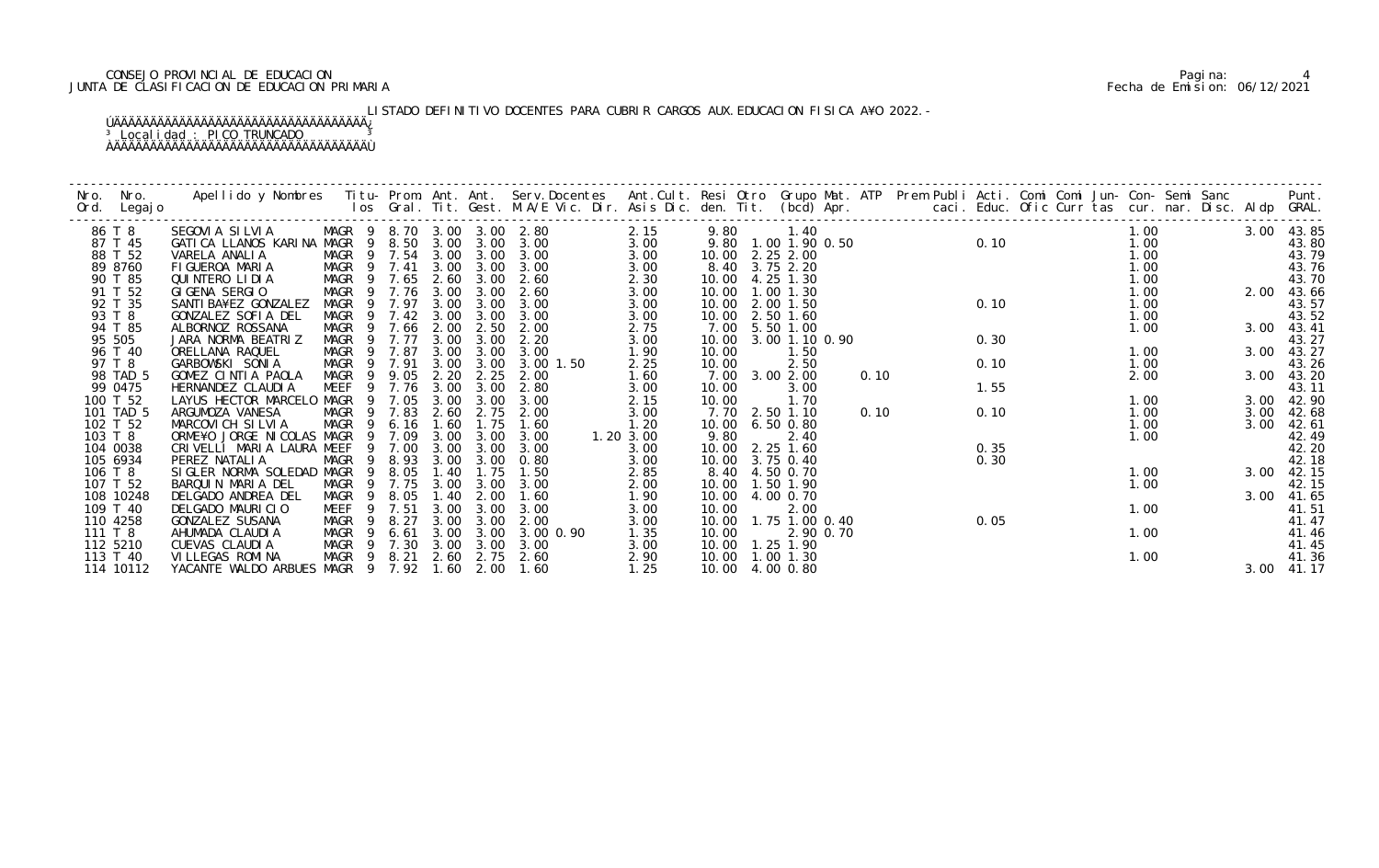### CONSEJO PROVINCIAL DE EDUCACION Pagina: 4 JUNTA DE CLASIFICACION DE EDUCACION PRIMARIA Fecha de Emision: 06/12/2021

# LISTADO DEFINITIVO DOCENTES PARA CUBRIR CARGOS AUX. EDUCACION FISICA A¥O 2022.-

| Nro.     | Nro.<br>Ord. Legajo | Apellido y Nombres  Titu- Prom. Ant. Ant. Serv.Docentes  Ant.Cult. Resi Otro Grupo Mat. ATP  Prem Publi Acti. Comi Comi Jun- Con- Semi Sanc        Punt.<br>Ios Gral. Tit. Gest. M.A/E Vic. Dir. Asis Dic. den. Tit. (bcd) Apr. |                   |                            |      |      |                  |           |                   |                         |           |      |  |      |      |  |      |            |                  |
|----------|---------------------|---------------------------------------------------------------------------------------------------------------------------------------------------------------------------------------------------------------------------------|-------------------|----------------------------|------|------|------------------|-----------|-------------------|-------------------------|-----------|------|--|------|------|--|------|------------|------------------|
| 86 T 8   |                     | SEGOVIA SILVIA                                                                                                                                                                                                                  |                   | MAGR 9 8.70 3.00 3.00 2.80 |      |      |                  | 2.15      |                   | 9.80 1.40               |           |      |  |      |      |  | 1.00 | 3.00 43.85 |                  |
|          | 87 T 45             | GATICA LLANOS KARINA MAGR 9 8.50 3.00                                                                                                                                                                                           |                   |                            |      |      | $3.00\quad 3.00$ | 3.00      |                   | 9.80 1.00 1.90 0.50     |           |      |  |      |      |  | 1.00 |            | 43.80            |
|          | 88 T 52             | VARELA ANALIA                                                                                                                                                                                                                   |                   | MAGR 9 7.54 3.00           |      | 3.00 | 3.00             | 3.00      | 10.00 2.25 2.00   |                         |           |      |  |      | 0.10 |  | 1.00 |            | 43.79            |
|          | 89 8760             | FIGUEROA MARIA                                                                                                                                                                                                                  |                   | MAGR 9 7.41                | 3.00 | 3.00 | 3.00             | 3.00      |                   | 8.40 3.75 2.20          |           |      |  |      |      |  | 1.00 |            | 43. 76<br>43. 70 |
|          | 90 T 85             | QUINTERO LIDIA                                                                                                                                                                                                                  |                   | MAGR 9 7.65                | 2.60 | 3.00 | 2.60             | 2.30      | 10.00             | 4.25 1.30               |           |      |  |      |      |  | 1.00 |            |                  |
|          | 91 T 52             | GIGENA SERGIO                                                                                                                                                                                                                   |                   | MAGR 9 7.76 3.00           |      | 3.00 | 2.60             | 3.00      | 10.00 1.00 1.30   |                         |           |      |  |      |      |  | 1.00 | 2.00 43.66 |                  |
|          | 92 T 35             | SANTI BA¥EZ GONZALEZ                                                                                                                                                                                                            |                   | MAGR 9 7.97                | 3.00 | 3.00 | 3.00             | 3.00      | 10.00 2.00 1.50   |                         |           |      |  | 0.10 |      |  | 1.00 |            | 43.57            |
| 93 T 8   |                     | GONZALEZ SOFIA DEL                                                                                                                                                                                                              |                   | MAGR 9 7.42 3.00           |      | 3.00 | 3.00             | 3.00      | 10.00 2.50 1.60   |                         |           |      |  |      |      |  | 1.00 |            | 43.52            |
|          | 94 T 85             | ALBORNOZ ROSSANA                                                                                                                                                                                                                |                   | MAGR 9 7.66                | 2.00 | 2.50 | 2.00             | 2.75      |                   | 7.00 5.50 1.00          |           |      |  |      |      |  | 1.00 |            | 3.00 43.41       |
| 95 505   |                     | JARA NORMA BEATRIZ                                                                                                                                                                                                              |                   | MAGR 9 7.77                | 3.00 | 3.00 | 2.20             | 3.00      |                   | 10.00 3.00 1.10 0.90    |           |      |  | 0.30 |      |  |      |            | 43.27            |
|          | 96 T 40             | ORELLANA RAQUEL                                                                                                                                                                                                                 |                   | MAGR 9 7.87                | 3.00 | 3.00 | 3.00             | 1.90      | 10.00             | 1.50                    |           |      |  |      |      |  | 1.00 |            | 3.00 43.27       |
| 97 T 8   |                     | GARBOWSKI SONIA                                                                                                                                                                                                                 |                   | MAGR 9 7.91                | 3.00 | 3.00 | 3.00 1.50        | 2.25      | 10.00             | 2.50                    |           |      |  | 0.10 |      |  | 1.00 |            | 43.26            |
|          | 98 TAD 5            | GOMEZ CINTIA PAOLA                                                                                                                                                                                                              | MAGR 9            | 9.05                       | 2.20 | 2.25 | 2.00             | 1.60      |                   | 7.00 3.00 2.00          |           | 0.10 |  |      |      |  | 2.00 |            | 3.00 43.20       |
|          | 99 0475             | HERNANDEZ CLAUDIA                                                                                                                                                                                                               |                   | MEEF 9 7.76                | 3.00 | 3.00 | 2.80             | 3.00      | 10.00             | 3.00                    |           |      |  | 1.55 |      |  |      |            | 43.11            |
| 100 T 52 |                     | LAYUS HECTOR MARCELO MAGR 9 7.05                                                                                                                                                                                                |                   |                            | 3.00 | 3.00 | 3.00             | 2.15      | 10.00             | 1.70                    |           |      |  |      |      |  | 1.00 |            | 3.00 42.90       |
|          | 101 TAD 5           | ARGUMOZA VANESA                                                                                                                                                                                                                 | MAGR              | 9 7.83                     | 2.60 | 2.75 | 2.00             | 3.00      |                   | 7.70 2.50 1.10          |           | 0.10 |  | 0.10 |      |  | 1.00 | 3.00       | 42.68            |
| 102 T 52 |                     | MARCOVICH SILVIA                                                                                                                                                                                                                |                   | MAGR 9 6.16 1.60           |      | 1.75 | 1.60             | 1.20      |                   | 10.00 6.50 0.80         |           |      |  |      |      |  | 1.00 | 3.00       | 42.61            |
| 103 T 8  |                     | ORME¥O JORGE NICOLAS MAGR 9 7.09                                                                                                                                                                                                |                   |                            | 3.00 | 3.00 | 3.00             | 1.20 3.00 | 9.80              | 2.40                    |           |      |  |      |      |  | 1.00 |            | 42.49            |
| 104 0038 |                     | CRIVELLI MARIA LAURA MEEF                                                                                                                                                                                                       |                   | 9 7.00                     | 3.00 | 3.00 | 3.00             | 3.00      | 10.00 2.25 1.60   |                         |           |      |  | 0.35 |      |  |      |            | 42.20<br>42.18   |
| 105 6934 |                     | PEREZ NATALIA                                                                                                                                                                                                                   | MAGR              | 9 8.93 3.00                |      | 3.00 | 0.80             | 3.00      | 10.00 3.75 0.40   |                         |           |      |  | 0.30 |      |  |      |            |                  |
| 106 T 8  |                     | SIGLER NORMA SOLEDAD MAGR                                                                                                                                                                                                       | - 9               | 8.05                       | 1.40 | 1.75 | 1.50             | 2.85      | 8.40              | 4.50 0.70               |           |      |  |      |      |  | 1.00 |            | 3.00 42.15       |
| 107 T 52 |                     | BARQUIN MARIA DEL                                                                                                                                                                                                               |                   | MAGR 9 7.75                | 3.00 | 3.00 | 3.00             | 2.00      | 10.00 1.50 1.90   |                         |           |      |  |      |      |  | 1.00 |            | 42.15            |
|          | 108 10248           | DELGADO ANDREA DEL                                                                                                                                                                                                              | MAGR <sub>9</sub> | 8.05                       | 1.40 | 2.00 | 1.60             | 1.90      | 10.00 4.00 0.70   |                         |           |      |  |      |      |  |      | 3.00 41.65 |                  |
| 109 T 40 |                     | DELGADO MAURICIO                                                                                                                                                                                                                | MEEF<br>- 9       | 7.51                       | 3.00 | 3.00 | 3.00             | 3.00      | 10.00             | 2.00                    |           |      |  |      |      |  | 1.00 |            | 41.51            |
| 110 4258 |                     | GONZALEZ SUSANA                                                                                                                                                                                                                 | MAGR<br>- 9       | 8.27                       | 3.00 | 3.00 | 2.00             | 3.00      |                   | 10.00  1.75  1.00  0.40 |           |      |  | 0.05 |      |  |      |            | 41.47            |
| 111 T 8  |                     | AHUMADA CLAUDIA                                                                                                                                                                                                                 |                   | MAGR 9 6.61                | 3.00 | 3.00 | 3.00 0.90        | 1.35      | 10.00             |                         | 2.90 0.70 |      |  |      |      |  | 1.00 |            | 41.46            |
| 112 5210 |                     | CUEVAS CLAUDIA                                                                                                                                                                                                                  |                   | MAGR 9 7.30                | 3.00 | 3.00 | 3.00             | 3.00      | 10.00  1.25  1.90 |                         |           |      |  |      |      |  |      |            | 41.45            |
| 113 T 40 |                     | VI LLEGAS ROMI NA                                                                                                                                                                                                               |                   | MAGR 9 8.21                | 2.60 | 2.75 | 2.60             | 2.90      | 10.00 1.00 1.30   |                         |           |      |  |      |      |  | 1.00 |            | 41.36            |
|          | 114 10112           | YACANTE WALDO ARBUES MAGR 9 7.92 1.60 2.00                                                                                                                                                                                      |                   |                            |      |      | 1.60             | 1.25      | 10.00 4.00 0.80   |                         |           |      |  |      |      |  |      |            | 3.00 41.17       |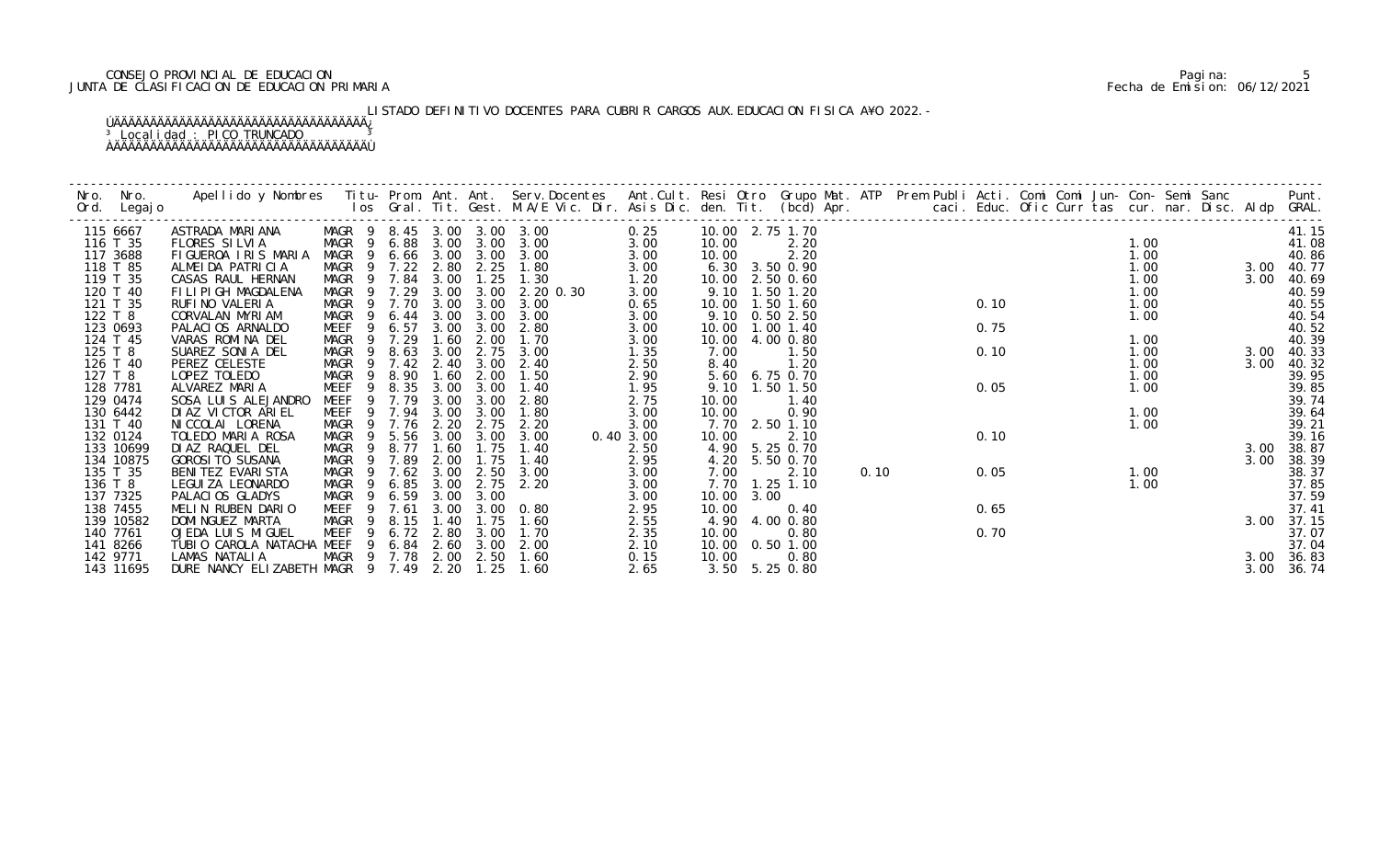### CONSEJO PROVINCIAL DE EDUCACION Pagina: 5 JUNTA DE CLASIFICACION DE EDUCACION PRIMARIA Fecha de Emision: 06/12/2021

# LISTADO DEFINITIVO DOCENTES PARA CUBRIR CARGOS AUX. EDUCACION FISICA A¥O 2022.-

| Nro. | Nro.<br>Ord. Legajo | Apellido y Nombres  Titu- Prom. Ant. Ant.  Serv.Docentes  Ant.Cult. Resi Otro  Grupo Mat. ATP  Prem Publi Acti. Comi Comi Jun- Con- Semi Sanc          Punt.<br>Ios Gral. Tit. Gest. M.A/E Vic. Dir. Asis Dic. den. Tit. (bcd) Ap |                            |                |        |             |      |                   |           |                   |      |                   |      |  |      |  |      |  |      |            |
|------|---------------------|-----------------------------------------------------------------------------------------------------------------------------------------------------------------------------------------------------------------------------------|----------------------------|----------------|--------|-------------|------|-------------------|-----------|-------------------|------|-------------------|------|--|------|--|------|--|------|------------|
|      | 115 6667            | ASTRADA MARIANA                                                                                                                                                                                                                   | MAGR 9 8.45 3.00 3.00 3.00 |                |        |             |      |                   | 0.25      | 10.00 2.75 1.70   |      |                   |      |  |      |  |      |  |      | 41.15      |
|      | 116 T 35            | FLORES SILVIA                                                                                                                                                                                                                     | MAGR 9 6.88 3.00           |                |        |             |      | $3.00 \quad 3.00$ | 3.00      | 10.00             |      | 2.20              |      |  |      |  | 1.00 |  |      | 41.08      |
|      | 117 3688            | FIGUEROA IRIS MARIA                                                                                                                                                                                                               | MAGR 9 6.66 3.00           |                |        |             | 3.00 | 3.00              | 3.00      | 10.00             |      | 2.20              |      |  |      |  | 1.00 |  |      | 40.86      |
|      | 118 T 85            | ALMEIDA PATRICIA                                                                                                                                                                                                                  | MAGR 9 7.22                |                |        | 2.80        | 2.25 | 1.80              | 3.00      |                   |      | 6.30 3.50 0.90    |      |  |      |  | 1.00 |  |      | 3.00 40.77 |
|      | 119 T 35            | CASAS RAUL HERNAN                                                                                                                                                                                                                 | MAGR 9 7.84                |                |        | 3.00        | 1.25 | 1.30              | 1.20      | 10.00 2.50 0.60   |      |                   |      |  |      |  | 1.00 |  | 3.00 | 40.69      |
|      | 120 T 40            | FILIPIGH MAGDALENA                                                                                                                                                                                                                | MAGR 9 7.29                |                |        | 3.00        | 3.00 | 2.20 0.30         | 3.00      | 9.10              |      | $1.50$ $1.20$     |      |  |      |  | 1.00 |  |      | 40.59      |
|      | 121 T 35            | RUFINO VALERIA                                                                                                                                                                                                                    | MAGR 9 7.70                |                |        | 3.00        | 3.00 | 3.00              | 0.65      | 10.00  1.50  1.60 |      |                   |      |  | 0.10 |  | 1.00 |  |      | 40.55      |
|      | 122 T 8             | CORVALAN MYRIAM                                                                                                                                                                                                                   | MAGR 9 6.44                |                |        | 3.00        | 3.00 | 3.00              | 3.00      |                   |      | 9.10 0.50 2.50    |      |  |      |  | 1.00 |  |      | 40.54      |
|      | 123 0693            | PALACIOS ARNALDO                                                                                                                                                                                                                  | MEEF                       | -9             | 6.57   | 3.00        | 3.00 | 2.80              | 3.00      | 10.00  1.00  1.40 |      |                   |      |  | 0.75 |  |      |  |      | 40.52      |
|      | 124 T 45            | VARAS ROMINA DEL                                                                                                                                                                                                                  | MAGR                       | $\overline{9}$ | 7.29   | 1.60        | 2.00 | 1.70              | 3.00      | 10.00             |      | 4.00 0.80         |      |  |      |  | 1.00 |  |      | 40.39      |
|      | 125 T 8             | SUAREZ SONIA DEL                                                                                                                                                                                                                  | MAGR                       | - 9            | 8.63   | 3.00        | 2.75 | 3.00              | 1.35      | 7.00              |      | 1.50              |      |  | 0.10 |  | 1.00 |  |      | 3.00 40.33 |
|      | 126 T 40            | PEREZ CELESTE                                                                                                                                                                                                                     | MAGR 9 7.42 2.40           |                |        |             | 3.00 | 2.40              | 2.50      | 8.40              |      | 1.20              |      |  |      |  | 1.00 |  | 3.00 | 40.32      |
|      | 127 T 8             | LOPEZ TOLEDO                                                                                                                                                                                                                      | MAGR                       | 9              | 8.90   | 1.60        | 2.00 | 1.50              | 2.90      |                   |      | 5.60 6.75 0.70    |      |  |      |  | 1.00 |  |      | 39.95      |
|      | 128 7781            | ALVAREZ MARIA                                                                                                                                                                                                                     | MEEF                       | 9              | 8.35   | 3.00        | 3.00 | 1.40              | 1.95      |                   |      | 9.10 1.50 1.50    |      |  | 0.05 |  | 1.00 |  |      | 39.85      |
|      | 129 0474            | SOSA LUIS ALEJANDRO                                                                                                                                                                                                               | MEEF 9 7.79                |                |        | 3.00        | 3.00 | 2.80              | 2.75      | 10.00             |      | 1.40              |      |  |      |  |      |  |      | 39.74      |
|      | 130 6442            | DI AZ VI CTOR ARI EL                                                                                                                                                                                                              | MEEF 9 7.94                |                |        | 3.00        | 3.00 | 1.80              | 3.00      | 10.00             |      | 0.90              |      |  |      |  | 1.00 |  |      | 39.64      |
|      | 131 T 40            | NI CCOLAI LORENA                                                                                                                                                                                                                  | MAGR                       |                | 9 7.76 | 2.20        | 2.75 | 2.20              | 3.00      |                   |      | 7.70 2.50 1.10    |      |  |      |  | 1.00 |  |      | 39.21      |
|      | 132 0124            | TOLEDO MARIA ROSA                                                                                                                                                                                                                 | MAGR 9                     |                | 5.56   | 3.00        | 3.00 | 3.00              | 0.40 3.00 | 10.00             |      | 2.10              |      |  | 0.10 |  |      |  |      | 39.16      |
|      | 133 10699           | DI AZ RAQUEL DEL                                                                                                                                                                                                                  | MAGR                       | - 9            | 8.77   | 1.60        | 1.75 | 1.40              | 2.50      |                   |      | 4.90 5.25 0.70    |      |  |      |  |      |  | 3.00 | 38.87      |
|      | 134 10875           | <b>GOROSI TO SUSANA</b>                                                                                                                                                                                                           | MAGR 9 7.89                |                |        | 2.00        | 1.75 | 1.40              | 2.95      |                   |      | 4.20 5.50 0.70    |      |  |      |  |      |  | 3.00 | 38.39      |
|      | 135 T 35            | BENI TEZ EVARI STA                                                                                                                                                                                                                | MAGR 9 7.62 3.00           |                |        |             | 2.50 | 3.00              | 3.00      | 7.00              |      | 2.10              | 0.10 |  | 0.05 |  | 1.00 |  |      | 38.37      |
|      | 136 T 8             | LEGUI ZA LEONARDO                                                                                                                                                                                                                 | MAGR 9                     |                | 6.85   | 3.00        | 2.75 | 2.20              | 3.00      |                   |      | 7.70 1.25 1.10    |      |  |      |  | 1.00 |  |      | 37.85      |
|      | 137 7325            | PALACIOS GLADYS                                                                                                                                                                                                                   | MAGR                       | - 9            | 6. 59  | 3.00        | 3.00 |                   | 3.00      | 10.00             | 3.00 |                   |      |  |      |  |      |  |      | 37.59      |
|      | 138 7455            | MELIN RUBEN DARIO                                                                                                                                                                                                                 | MEEF                       |                | 9 7.61 | 3.00        | 3.00 | 0.80              | 2.95      | 10.00             |      | 0.40              |      |  | 0.65 |  |      |  |      | 37.41      |
|      | 139 10582           | DOMI NGUEZ MARTA                                                                                                                                                                                                                  | MAGR                       | - 9            | 8.15   | 1.40        | 1.75 | 1.60              | 2.55      | 4.90              |      | 4.00 0.80         |      |  |      |  |      |  | 3.00 | 37.15      |
|      | 140 7761            | OJEDA LUIS MIGUEL                                                                                                                                                                                                                 | MEEF                       | -9             |        | $6.72$ 2.80 | 3.00 | 1.70              | 2.35      | 10.00             |      | 0.80              |      |  | 0.70 |  |      |  |      | 37.07      |
|      | 141 8266            | TUBIO CAROLA NATACHA MEEF 9 6.84                                                                                                                                                                                                  |                            |                |        | 2.60        | 3.00 | 2.00              | 2.10      |                   |      | 10.00  0.50  1.00 |      |  |      |  |      |  |      | 37.04      |
|      | 142 9771            | LAMAS NATALIA                                                                                                                                                                                                                     | MAGR 9 7.78 2.00           |                |        |             | 2.50 | 1.60              | 0.15      | 10.00             |      | 0.80              |      |  |      |  |      |  |      | 3.00 36.83 |
|      | 143 11695           | DURE NANCY ELIZABETH MAGR 9 7.49 2.20                                                                                                                                                                                             |                            |                |        |             | 1.25 | 1.60              | 2.65      |                   |      | 3.50 5.25 0.80    |      |  |      |  |      |  | 3.00 | 36.74      |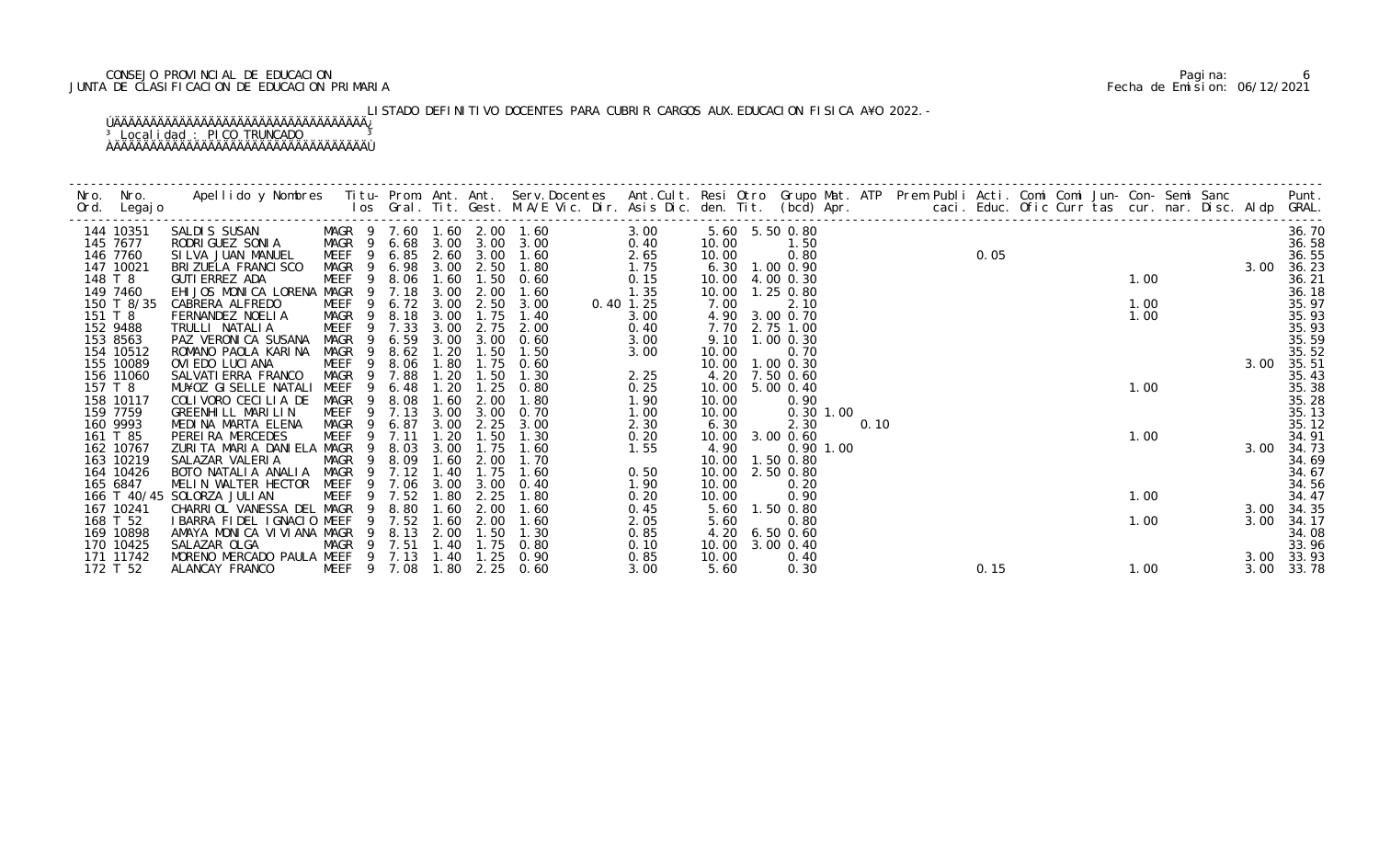### CONSEJO PROVINCIAL DE EDUCACION Pagina: 6 JUNTA DE CLASIFICACION DE EDUCACION PRIMARIA Fecha de Emision: 06/12/2021

# LISTADO DEFINITIVO DOCENTES PARA CUBRIR CARGOS AUX. EDUCACION FISICA A¥O 2022.-

| 144 10351             | SALDIS SUSAN                            |              |                |                  |              |                       | MAGR 9 7.60 1.60 2.00 1.60<br>MAGR 9 6.68 3.00 3.00 3.00 | 3.00         |                | 5.60 5.50 0.80    |             |      |  |      |  |      |  |      | 36.70          |
|-----------------------|-----------------------------------------|--------------|----------------|------------------|--------------|-----------------------|----------------------------------------------------------|--------------|----------------|-------------------|-------------|------|--|------|--|------|--|------|----------------|
| 145 7677<br>146 7760  | RODRI GUEZ SONI A<br>SILVA JUAN MANUEL  |              |                |                  |              |                       | MEEF 9 6.85 2.60 3.00 1.60                               | 0.40<br>2.65 | 10.00<br>10.00 | 1.50<br>0.80      |             |      |  | 0.05 |  |      |  |      | 36.58<br>36.55 |
| 147 10021             | BRI ZUELA FRANCI SCO                    |              |                |                  |              | MAGR 9 6.98 3.00 2.50 | 1.80                                                     | 1.75         |                | 6.30 1.00 0.90    |             |      |  |      |  |      |  | 3.00 | 36.23          |
| 148 T 8               | GUTI ERREZ ADA                          | MEEF         |                | 9 8.06 1.60      |              |                       | $1.50 \t 0.60$                                           | 0.15         |                | 10.00 4.00 0.30   |             |      |  |      |  | 1.00 |  |      | 36.21          |
| 149 7460              | EHIJOS MONICA LORENA MAGR 9 7.18        |              |                |                  | 3.00         | 2.00                  | 1.60                                                     | 1.35         | 10.00          | 1.25 0.80         |             |      |  |      |  |      |  |      | 36.18          |
| 150 T 8/35            | CABRERA ALFREDO                         |              |                | MEEF 9 6.72 3.00 |              | 2.50                  | 3.00                                                     | $0.40$ 1.25  | 7.00           | 2.10              |             |      |  |      |  | 1.00 |  |      | 35.97          |
| 151 T 8               | FERNANDEZ NOELIA                        |              |                | MAGR 9 8.18      | 3.00         | 1.75                  | 1.40                                                     | 3.00         |                | 4.90 3.00 0.70    |             |      |  |      |  | 1.00 |  |      | 35.93          |
| 152 9488              | TRULLI NATALIA                          | MEEF 9 7.33  |                |                  | 3.00         | 2.75                  | 2.00                                                     | 0.40         |                | 7.70 2.75 1.00    |             |      |  |      |  |      |  |      | 35.93          |
| 153 8563              | PAZ VERONICA SUSANA                     | MAGR         | $\overline{9}$ | 6.59             | 3.00         | 3.00                  | 0.60                                                     | 3.00         |                | 9.10 1.00 0.30    |             |      |  |      |  |      |  |      | 35.59          |
| 154 10512             | ROMANO PAOLA KARINA                     | MAGR         | 9              | 8.62             | 1.20         | 1.50                  | 1.50                                                     | 3.00         | 10.00          | 0.70              |             |      |  |      |  |      |  |      | 35.52          |
| 155 10089             | OVIEDO LUCIANA                          | MEEF         |                | 9 8.06           | 1.80         | 1.75                  | 0.60                                                     |              |                | 10.00 1.00 0.30   |             |      |  |      |  |      |  | 3.00 | 35.51          |
| 156 11060             | SALVATI ERRA FRANCO                     | MAGR         |                | 9 7.88           | 1.20         | 1.50                  | 1.30                                                     | 2.25         |                | 4.20 7.50 0.60    |             |      |  |      |  |      |  |      | 35.43          |
| 157 T 8               | MU¥OZ GISELLE NATALI                    | MEEF         | 9              | 6.48             | 1.20<br>1.60 | 1.25<br>2.00          | 0.80<br>1.80                                             | 0.25         |                | 10.00 5.00 0.40   |             |      |  |      |  | 1.00 |  |      | 35.38<br>35.28 |
| 158 10117<br>159 7759 | COLIVORO CECILIA DE                     | MAGR<br>MEEF |                | 8.08<br>9 7.13   | 3.00         | 3.00                  | 0.70                                                     | 1.90<br>1.00 | 10.00<br>10.00 | 0.90              | $0.30$ 1.00 |      |  |      |  |      |  |      | 35.13          |
| 160 9993              | GREENHILL MARILIN<br>MEDINA MARTA ELENA | MAGR         |                | 9 6.87           | 3.00         | 2.25                  | 3.00                                                     | 2.30         | 6.30           | 2.30              |             | 0.10 |  |      |  |      |  |      | 35.12          |
| 161 T 85              | PEREIRA MERCEDES                        | MEEF         |                | 9 7.11           | 1.20         | 1.50                  | 1.30                                                     | 0.20         |                | 10.00 3.00 0.60   |             |      |  |      |  | 1.00 |  |      | 34.91          |
| 162 10767             | ZURITA MARIA DANIELA MAGR               |              | -9             | 8.03             | 3.00         | 1.75                  | 1.60                                                     | 1.55         | 4.90           |                   | $0.90$ 1.00 |      |  |      |  |      |  | 3.00 | 34.73          |
| 163 10219             | SALAZAR VALERIA                         | MAGR         |                | 9 8.09           | 1.60         | 2.00                  | 1.70                                                     |              |                | 10.00  1.50  0.80 |             |      |  |      |  |      |  |      | 34.69          |
| 164 10426             | BOTO NATALIA ANALIA MAGR                |              |                | 9 7.12           | 1.40         | 1.75                  | 1.60                                                     | 0.50         | 10.00          | 2.50 0.80         |             |      |  |      |  |      |  |      | 34.67          |
| 165 6847              | MELIN WALTER HECTOR                     | MEEF         |                | 9 7.06           | 3.00         | 3.00                  | 0.40                                                     | 1.90         | 10.00          | 0.20              |             |      |  |      |  |      |  |      | 34.56          |
|                       | 166 T 40/45 SOLORZA JULIAN              | <b>MEEF</b>  | 9              | 7.52             | 1.80         | 2.25                  | 1.80                                                     | 0.20         | 10.00          | 0.90              |             |      |  |      |  | 1.00 |  |      | 34.47          |
| 167 10241             | CHARRIOL VANESSA DEL MAGR               |              | - 9            | 8.80             | 1.60         | 2.00                  | 1.60                                                     | 0.45         | 5.60           | 1.50 0.80         |             |      |  |      |  |      |  |      | 3.00 34.35     |
| 168 T 52              | I BARRA FIDEL I GNACIO MEEF             |              | 9              | 7.52             | 1.60         | 2.00                  | 1.60                                                     | 2.05         | 5.60           | 0.80              |             |      |  |      |  | 1.00 |  | 3.00 | 34.17          |
| 169 10898             | AMAYA MONICA VIVIANA MAGR               |              | 9              | 8.13             | 2.00         | 1.50                  | 1.30                                                     | 0.85         | 4.20           | $6.50$ $0.60$     |             |      |  |      |  |      |  |      | 34.08          |
| 170 10425             | SALAZAR OLGA                            | MAGR         |                | 9 7.51           | 1.40         | 1.75                  | 0.80                                                     | 0.10         | 10.00          | $3.00 \, 0.40$    |             |      |  |      |  |      |  |      | 33.96          |
| 171 11742             | MORENO MERCADO PAULA MEEF 9 7.13 1.40   |              |                |                  |              | 1.25                  | 0.90                                                     | 0.85         | 10.00          | 0.40              |             |      |  |      |  |      |  |      | 3.00 33.93     |
| 172 T 52              | ALANCAY FRANCO                          | MEEF 9 7.08  |                |                  | 1.80         | 2.25                  | 0.60                                                     | 3.00         | 5.60           | 0.30              |             |      |  | 0.15 |  | 1.00 |  | 3.00 | 33.78          |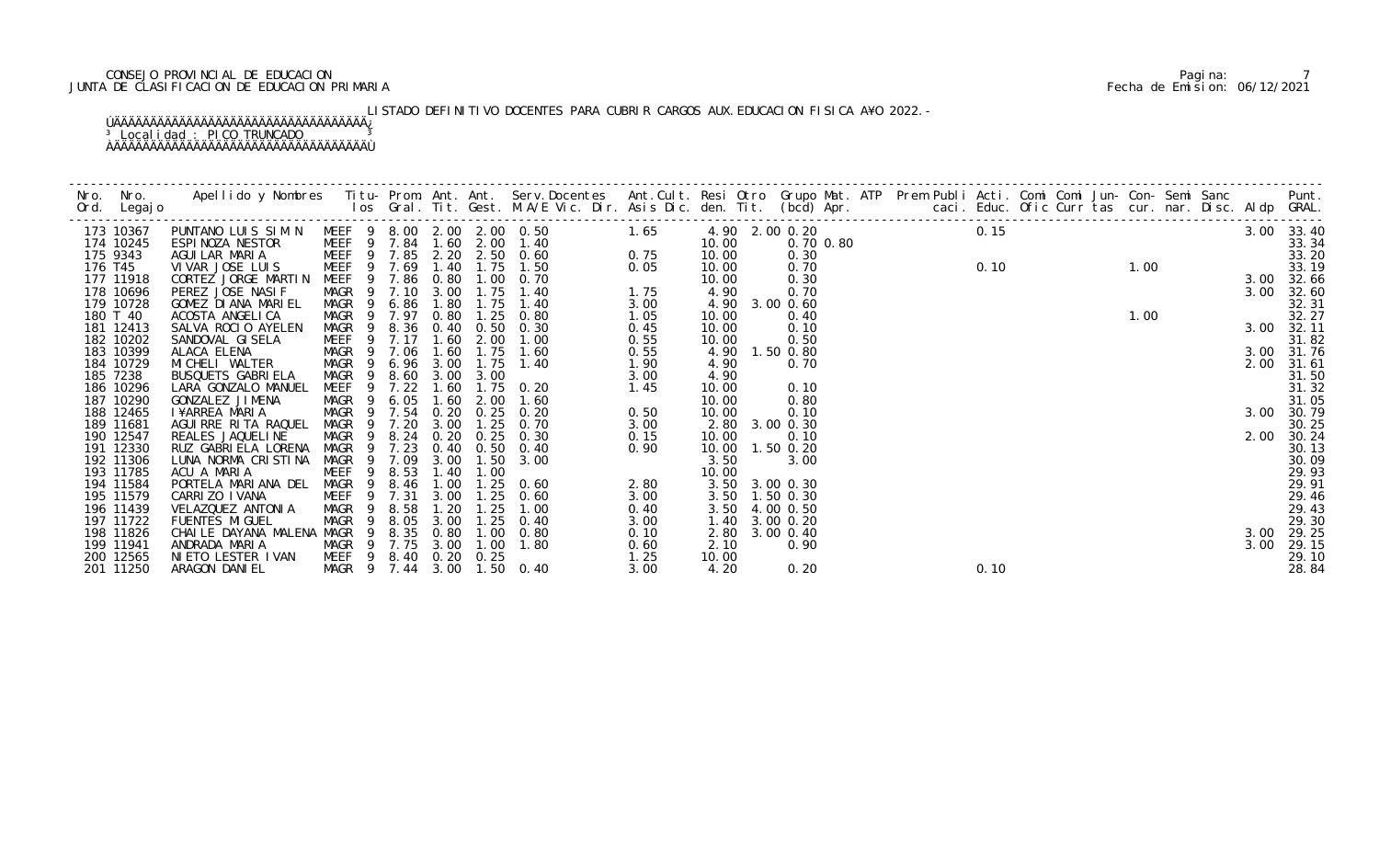### CONSEJO PROVINCIAL DE EDUCACION Pagina: 7 JUNTA DE CLASIFICACION DE EDUCACION PRIMARIA Fecha de Emision: 06/12/2021

# LISTADO DEFINITIVO DOCENTES PARA CUBRIR CARGOS AUX. EDUCACION FISICA A¥O 2022.-

|  | $\begin{bmatrix} 10 & 0.0000 & 0.00000 & 0.00000 & 0.00000 & 0.00000 & 0.00000 & 0.00000 & 0.00000 & 0.00000 & 0.00000 & 0.00000 & 0.00000 & 0.00000 & 0.00000 & 0.00000 & 0.00000 & 0.00000 & 0.00000 & 0.00000 & 0.00000 & 0.00000 & 0.00000 & 0.00000 & 0.0$ |  |  |  |  |  |  |  |  |  |  |            |
|--|-----------------------------------------------------------------------------------------------------------------------------------------------------------------------------------------------------------------------------------------------------------------|--|--|--|--|--|--|--|--|--|--|------------|
|  |                                                                                                                                                                                                                                                                 |  |  |  |  |  |  |  |  |  |  |            |
|  |                                                                                                                                                                                                                                                                 |  |  |  |  |  |  |  |  |  |  |            |
|  |                                                                                                                                                                                                                                                                 |  |  |  |  |  |  |  |  |  |  |            |
|  |                                                                                                                                                                                                                                                                 |  |  |  |  |  |  |  |  |  |  |            |
|  |                                                                                                                                                                                                                                                                 |  |  |  |  |  |  |  |  |  |  |            |
|  |                                                                                                                                                                                                                                                                 |  |  |  |  |  |  |  |  |  |  |            |
|  |                                                                                                                                                                                                                                                                 |  |  |  |  |  |  |  |  |  |  |            |
|  |                                                                                                                                                                                                                                                                 |  |  |  |  |  |  |  |  |  |  |            |
|  |                                                                                                                                                                                                                                                                 |  |  |  |  |  |  |  |  |  |  |            |
|  |                                                                                                                                                                                                                                                                 |  |  |  |  |  |  |  |  |  |  | 3.00 31.76 |
|  |                                                                                                                                                                                                                                                                 |  |  |  |  |  |  |  |  |  |  |            |
|  |                                                                                                                                                                                                                                                                 |  |  |  |  |  |  |  |  |  |  |            |
|  |                                                                                                                                                                                                                                                                 |  |  |  |  |  |  |  |  |  |  |            |
|  |                                                                                                                                                                                                                                                                 |  |  |  |  |  |  |  |  |  |  |            |
|  |                                                                                                                                                                                                                                                                 |  |  |  |  |  |  |  |  |  |  |            |
|  |                                                                                                                                                                                                                                                                 |  |  |  |  |  |  |  |  |  |  |            |
|  |                                                                                                                                                                                                                                                                 |  |  |  |  |  |  |  |  |  |  |            |
|  |                                                                                                                                                                                                                                                                 |  |  |  |  |  |  |  |  |  |  |            |
|  |                                                                                                                                                                                                                                                                 |  |  |  |  |  |  |  |  |  |  |            |
|  |                                                                                                                                                                                                                                                                 |  |  |  |  |  |  |  |  |  |  |            |
|  |                                                                                                                                                                                                                                                                 |  |  |  |  |  |  |  |  |  |  |            |
|  |                                                                                                                                                                                                                                                                 |  |  |  |  |  |  |  |  |  |  |            |
|  |                                                                                                                                                                                                                                                                 |  |  |  |  |  |  |  |  |  |  |            |
|  |                                                                                                                                                                                                                                                                 |  |  |  |  |  |  |  |  |  |  |            |
|  |                                                                                                                                                                                                                                                                 |  |  |  |  |  |  |  |  |  |  |            |
|  |                                                                                                                                                                                                                                                                 |  |  |  |  |  |  |  |  |  |  |            |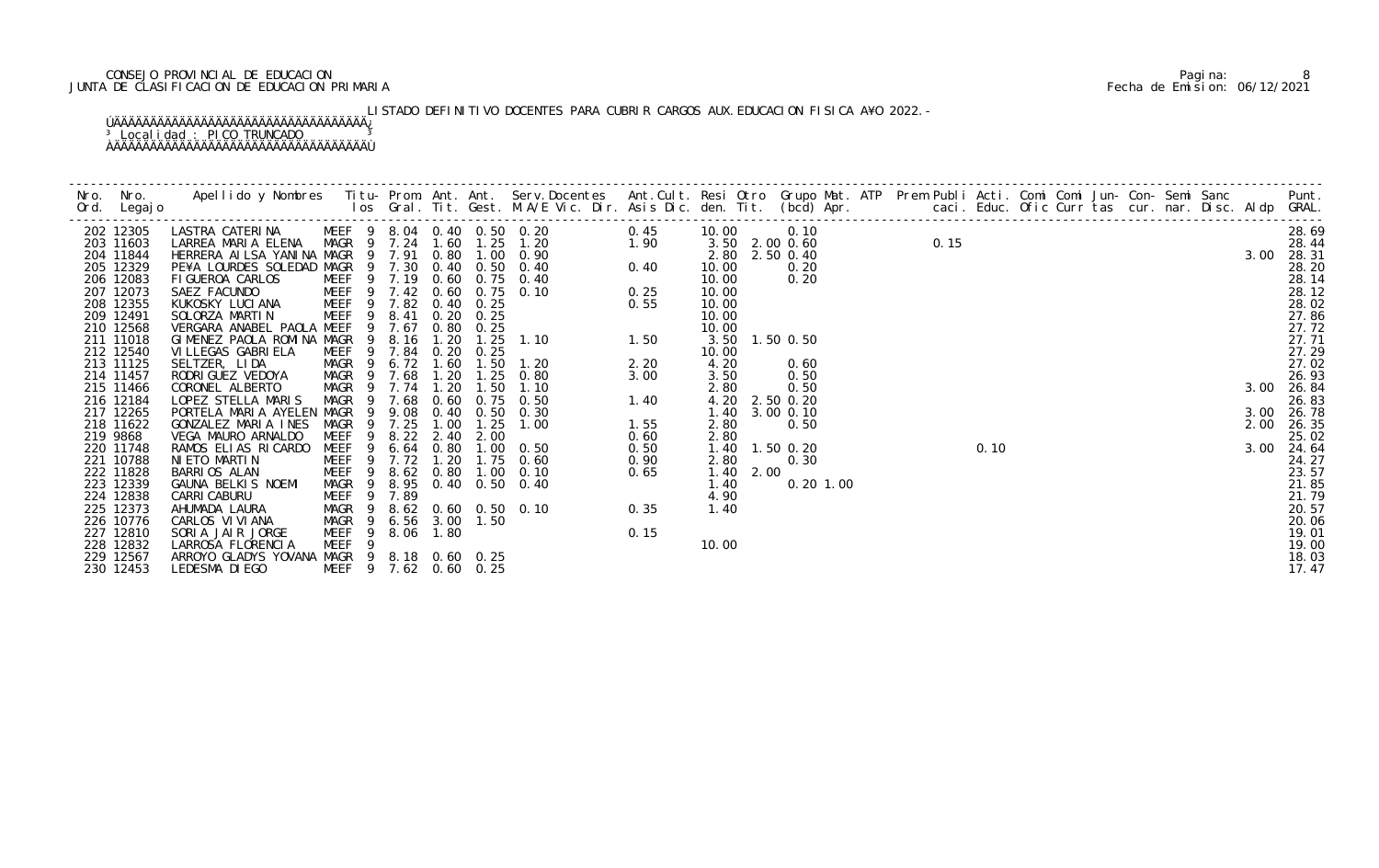### CONSEJO PROVINCIAL DE EDUCACION Pagina: 8 JUNTA DE CLASIFICACION DE EDUCACION PRIMARIA Fecha de Emision: 06/12/2021

LISTADO DEFINITIVO DOCENTES PARA CUBRIR CARGOS AUX. EDUCACION FISICA A¥O 2022.-

| 202 12305              | LASTRA CATERINA                                  | MEEF 9 8.04 0.40 0.50 0.20 |      |             |                               |                                            | 0.45 | 10.00     | 0.10           |           |  |      |      |  |  |  |      | 28.69          |
|------------------------|--------------------------------------------------|----------------------------|------|-------------|-------------------------------|--------------------------------------------|------|-----------|----------------|-----------|--|------|------|--|--|--|------|----------------|
| 203 11603              | LARREA MARIA ELENA MAGR 9 7.24                   |                            |      |             |                               | 1.60  1.25  1.20<br>$1.90$<br>0.40<br>0.25 |      |           | 3.50 2.00 0.60 |           |  | 0.15 |      |  |  |  |      | 28.44          |
| 204 11844              | HERRERA AILSA YANINA MAGR 9 7.91                 |                            |      |             |                               | 0.80 1.00 0.90                             |      |           | 2.80 2.50 0.40 |           |  |      |      |  |  |  | 3.00 | 28.31          |
| 205 12329              | PE¥A LOURDES SOLEDAD MAGR 9 7.30                 |                            |      |             |                               | 0.40 0.50 0.40                             |      | 10.00     | 0.20           |           |  |      |      |  |  |  |      | 28.20          |
| 206 12083              | FIGUEROA CARLOS                                  | MEEF 9 7.19                |      |             | 0.60 0.75                     | 0.40                                       |      | 10.00     | 0.20           |           |  |      |      |  |  |  |      | 28.14          |
| 207 12073              | MEEF 9 7.42<br>SAEZ FACUNDO                      |                            |      | 0.60        |                               | $0.75$ 0.10                                |      | 10.00     |                |           |  |      |      |  |  |  |      | 28.12          |
| 208 12355              | KUKOSKY LUCI ANA                                 | MEEF <sub>9</sub>          | 7.82 |             | $0.40 \quad 0.25$             |                                            | 0.55 | 10.00     |                |           |  |      |      |  |  |  |      | 28.02          |
| 209 12491              | SOLORZA MARTIN                                   | MEEF<br>- 9                | 8.41 |             | $0.20 \quad 0.25$             |                                            |      | 10.00     |                |           |  |      |      |  |  |  |      | 27.86          |
| 210 12568              | VERGARA ANABEL PAOLA MEEF                        | 9<br>- 9                   | 7.67 |             | $0.80$ $0.25$                 |                                            |      | 10.00     |                |           |  |      |      |  |  |  |      | 27.72          |
| 211 11018<br>212 12540 | GIMENEZ PAOLA ROMINA MAGR<br>VI LLEGAS GABRI ELA | MEEF 9 7.84                | 8.16 | 1.20        | $0.20 \quad 0.25$             | $1.25$ $1.10$                              |      | 10.00     | 3.50 1.50 0.50 |           |  |      |      |  |  |  |      | 27.71<br>27.29 |
| 213 11125              | SELTZER, LIDA                                    | MAGR <sub>9</sub>          |      | $6.72$ 1.60 | 1.50                          | 1.20                                       | 2.20 | 4.20      | 0.60           |           |  |      |      |  |  |  |      | 27.02          |
| 214 11457              | RODRI GUEZ VEDOYA                                | MAGR 9                     | 7.68 | 1.20        | $\overline{\phantom{0}}$ . 25 | 0.80                                       | 3.00 | 3.50      | 0.50           |           |  |      |      |  |  |  |      | 26.93          |
| 215 11466              | CORONEL ALBERTO                                  | MAGR 9                     | 7.74 | 1.20        | $\overline{.50}$              | 1.10                                       |      | 2.80      | 0.50           |           |  |      |      |  |  |  | 3.00 | 26.84          |
| 216 12184              | LOPEZ STELLA MARIS                               | MAGR<br>- 9                | 7.68 | 0.60        | 0.75                          | 0. 50                                      | 1.40 |           | 4.20 2.50 0.20 |           |  |      |      |  |  |  |      | 26.83          |
| 217 12265              | PORTELA MARIA AYELEN MAGR                        | - 9                        | 9.08 | 0.40        | 0. 50                         | 0.30                                       |      |           | 1.40 3.00 0.10 |           |  |      |      |  |  |  | 3.00 | 26.78          |
| 218 11622              | GONZALEZ MARIA INES                              | <b>MAGR</b>                | 7.25 | 1.00        | 1.25                          | 1.00                                       | 1.55 | 2.80      | 0.50           |           |  |      |      |  |  |  | 2.00 | 26.35          |
| 219 9868               | VEGA MAURO ARNALDO                               | <b>MEEF</b>                | 8.22 | 2.40        | 2.00                          |                                            | 0.60 | 2.80      |                |           |  |      |      |  |  |  |      | 25.02          |
| 220 11748              | RAMOS ELIAS RICARDO                              | MEEF<br>-9                 | 6.64 | 0.80        |                               | $1.00 \quad 0.50$                          | 0.50 |           | 1.40 1.50 0.20 |           |  |      | 0.10 |  |  |  | 3.00 | 24.64          |
| 221 10788              | NI ETO MARTIN                                    | MEEF<br>- 9                | 7.72 | 1.20        |                               | $1.75 \quad 0.60$                          | 0.90 | 2.80      | 0.30           |           |  |      |      |  |  |  |      | 24.27          |
| 222 11828              | BARRIOS ALAN                                     | 9<br>MEEF                  | 8.62 | 0.80        |                               | $1.00 \t 0.10$                             | 0.65 | 1.40 2.00 |                |           |  |      |      |  |  |  |      | 23.57          |
| 223 12339              | GAUNA BELKIS NOEMI                               | MAGR 9                     | 8.95 |             |                               | 0.40 0.50 0.40                             |      | 1.40      |                | 0.20 1.00 |  |      |      |  |  |  |      |                |
| 224 12838              | CARRI CABURU                                     | MEEF<br>9                  | 7.89 |             |                               |                                            |      | 4.90      |                |           |  |      |      |  |  |  |      | 21.85<br>21.79 |
| 225 12373              | AHUMADA LAURA                                    | MAGR<br>- 9                | 8.62 |             |                               | 0.60 0.50 0.10                             | 0.35 | 1.40      |                |           |  |      |      |  |  |  |      | 20.57          |
| 226 10776              | CARLOS VI VI ANA                                 | MAGR                       |      |             | 6.56 3.00 1.50                |                                            |      |           |                |           |  |      |      |  |  |  |      | 20.06          |
| 227 12810              | SORIA JAIR JORGE                                 | MEEF <sub>9</sub>          |      | 8.06 1.80   |                               |                                            | 0.15 |           |                |           |  |      |      |  |  |  |      | 19.01          |
| 228 12832              | LARROSA FLORENCIA                                | <b>MEEF</b><br>-9          |      |             |                               |                                            |      | 10.00     |                |           |  |      |      |  |  |  |      | 19.00          |
| 229 12567              | ARROYO GLADYS YOVANA MAGR 9 8.18 0.60 0.25       |                            |      |             |                               |                                            |      |           |                |           |  |      |      |  |  |  |      | 18.03          |
| 230 12453              | LEDESMA DI EGO                                   | MEEF 9 7.62 0.60 0.25      |      |             |                               |                                            |      |           |                |           |  |      |      |  |  |  |      | 17.47          |